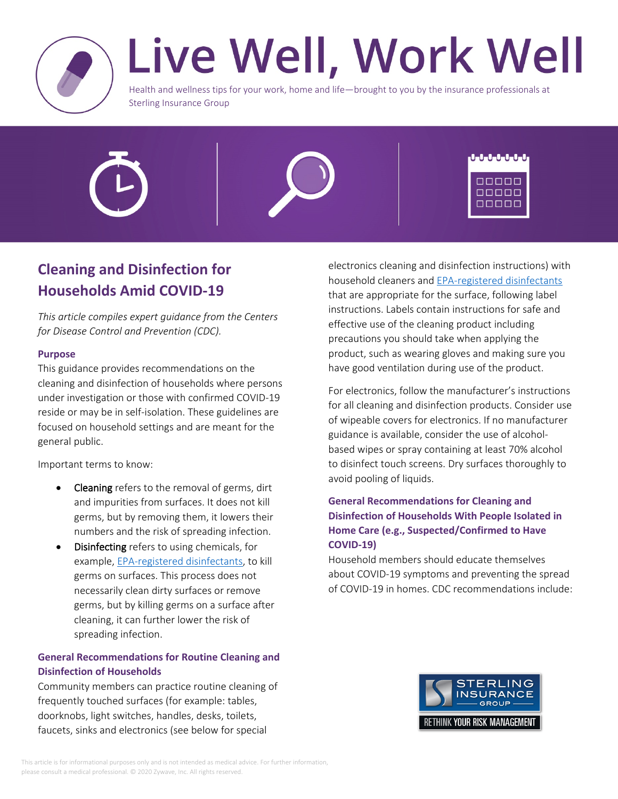

# Live Well, Work Well

Health and wellness tips for your work, home and life—brought to you by the insurance professionals at Sterling Insurance Group





# **Cleaning and Disinfection for Households Amid COVID-19**

*This article compiles expert guidance from the Centers for Disease Control and Prevention (CDC).*

#### **Purpose**

This guidance provides recommendations on the cleaning and disinfection of households where persons under investigation or those with confirmed COVID-19 reside or may be in self-isolation. These guidelines are focused on household settings and are meant for the general public.

Important terms to know:

- **Cleaning** refers to the removal of germs, dirt and impurities from surfaces. It does not kill germs, but by removing them, it lowers their numbers and the risk of spreading infection.
- **Disinfecting** refers to using chemicals, for example, [EPA-registered disinfectants,](https://www.epa.gov/pesticide-registration/list-n-disinfectants-use-against-sars-cov-2-covid-19) to kill germs on surfaces. This process does not necessarily clean dirty surfaces or remove germs, but by killing germs on a surface after cleaning, it can further lower the risk of spreading infection.

## **General Recommendations for Routine Cleaning and Disinfection of Households**

Community members can practice routine cleaning of frequently touched surfaces (for example: tables, doorknobs, light switches, handles, desks, toilets, faucets, sinks and electronics (see below for special

electronics cleaning and disinfection instructions) with household cleaners and [EPA-registered disinfectants](https://www.epa.gov/pesticide-registration/list-n-disinfectants-use-against-sars-cov-2-covid-19) that are appropriate for the surface, following label instructions. Labels contain instructions for safe and effective use of the cleaning product including precautions you should take when applying the product, such as wearing gloves and making sure you have good ventilation during use of the product.

For electronics, follow the manufacturer's instructions for all cleaning and disinfection products. Consider use of wipeable covers for electronics. If no manufacturer guidance is available, consider the use of alcoholbased wipes or spray containing at least 70% alcohol to disinfect touch screens. Dry surfaces thoroughly to avoid pooling of liquids.

### **General Recommendations for Cleaning and Disinfection of Households With People Isolated in Home Care (e.g., Suspected/Confirmed to Have COVID-19)**

Household members should educate themselves about COVID-19 symptoms and preventing the spread of COVID-19 in homes. CDC recommendations include:

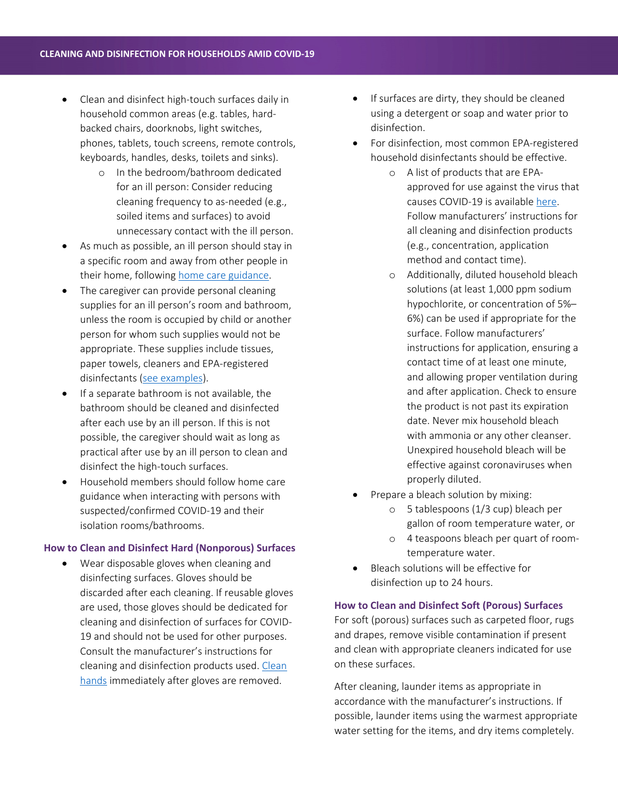- Clean and disinfect high-touch surfaces daily in household common areas (e.g. tables, hardbacked chairs, doorknobs, light switches, phones, tablets, touch screens, remote controls, keyboards, handles, desks, toilets and sinks).
	- o In the bedroom/bathroom dedicated for an ill person: Consider reducing cleaning frequency to as-needed (e.g., soiled items and surfaces) to avoid unnecessary contact with the ill person.
- As much as possible, an ill person should stay in a specific room and away from other people in their home, following [home care guidance](https://www.cdc.gov/coronavirus/2019-ncov/hcp/guidance-prevent-spread.html).
- The caregiver can provide personal cleaning supplies for an ill person's room and bathroom, unless the room is occupied by child or another person for whom such supplies would not be appropriate. These supplies include tissues, paper towels, cleaners and EPA-registered disinfectants ([see examples\)](https://www.epa.gov/pesticide-registration/list-n-disinfectants-use-against-sars-cov-2-covid-19).
- If a separate bathroom is not available, the bathroom should be cleaned and disinfected after each use by an ill person. If this is not possible, the caregiver should wait as long as practical after use by an ill person to clean and disinfect the high-touch surfaces.
- Household members should follow home care guidance when interacting with persons with suspected/confirmed COVID-19 and their isolation rooms/bathrooms.

#### **How to Clean and Disinfect Hard (Nonporous) Surfaces**

 Wear disposable gloves when cleaning and disinfecting surfaces. Gloves should be discarded after each cleaning. If reusable gloves are used, those gloves should be dedicated for cleaning and disinfection of surfaces for COVID-19 and should not be used for other purposes. Consult the manufacturer's instructions for cleaning and disinfection products used. [Clean](https://www.cdc.gov/handwashing/when-how-handwashing.html)  [hands](https://www.cdc.gov/handwashing/when-how-handwashing.html) immediately after gloves are removed.

- If surfaces are dirty, they should be cleaned using a detergent or soap and water prior to disinfection.
- For disinfection, most common EPA-registered household disinfectants should be effective.
	- o A list of products that are EPAapproved for use against the virus that causes COVID-19 is available [here.](https://www.epa.gov/pesticide-registration/list-n-disinfectants-use-against-sars-cov-2-covid-19) Follow manufacturers' instructions for all cleaning and disinfection products (e.g., concentration, application method and contact time).
	- o Additionally, diluted household bleach solutions (at least 1,000 ppm sodium hypochlorite, or concentration of 5%– 6%) can be used if appropriate for the surface. Follow manufacturers' instructions for application, ensuring a contact time of at least one minute, and allowing proper ventilation during and after application. Check to ensure the product is not past its expiration date. Never mix household bleach with ammonia or any other cleanser. Unexpired household bleach will be effective against coronaviruses when properly diluted.
- Prepare a bleach solution by mixing:
	- o 5 tablespoons (1/3 cup) bleach per gallon of room temperature water, or
	- o 4 teaspoons bleach per quart of roomtemperature water.
- Bleach solutions will be effective for disinfection up to 24 hours.

#### **How to Clean and Disinfect Soft (Porous) Surfaces**

For soft (porous) surfaces such as carpeted floor, rugs and drapes, remove visible contamination if present and clean with appropriate cleaners indicated for use on these surfaces.

After cleaning, launder items as appropriate in accordance with the manufacturer's instructions. If possible, launder items using the warmest appropriate water setting for the items, and dry items completely.